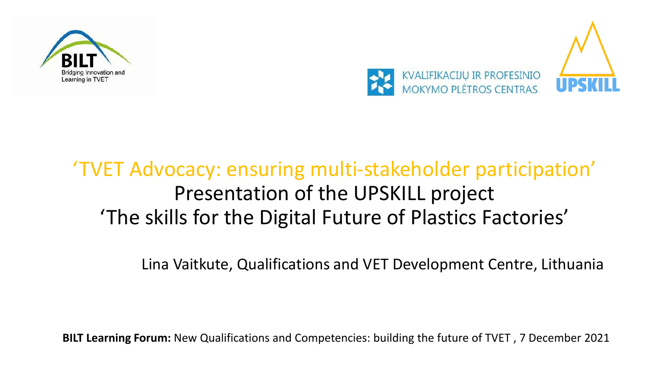



### 'TVET Advocacy: ensuring multi-stakeholder participation' Presentation of the UPSKILL project 'The skills for the Digital Future of Plastics Factories'

Lina Vaitkute, Qualifications and VET Development Centre, Lithuania

**BILT Learning Forum:** New Qualifications and Competencies: building the future of TVET , 7 December 2021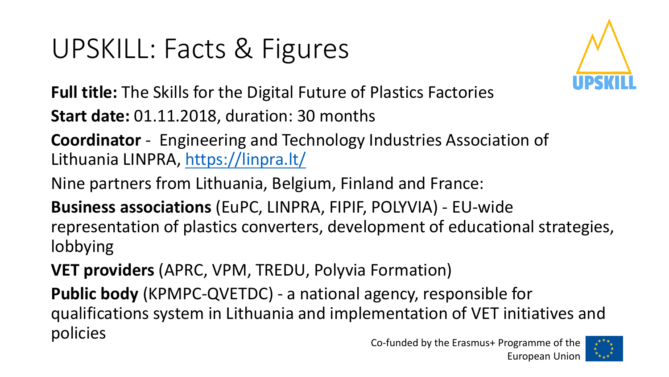# UPSKILL: Facts & Figures



**Full title:** The Skills for the Digital Future of Plastics Factories

**Start date:** 01.11.2018, duration: 30 months

**Coordinator** - Engineering and Technology Industries Association of Lithuania LINPRA,<https://linpra.lt/>

Nine partners from Lithuania, Belgium, Finland and France:

**Business associations** (EuPC, LINPRA, FIPIF, POLYVIA) - EU-wide representation of plastics converters, development of educational strategies, lobbying

**VET providers** (APRC, VPM, TREDU, Polyvia Formation)

**Public body** (KPMPC-QVETDC) - a national agency, responsible for qualifications system in Lithuania and implementation of VET initiatives and policies

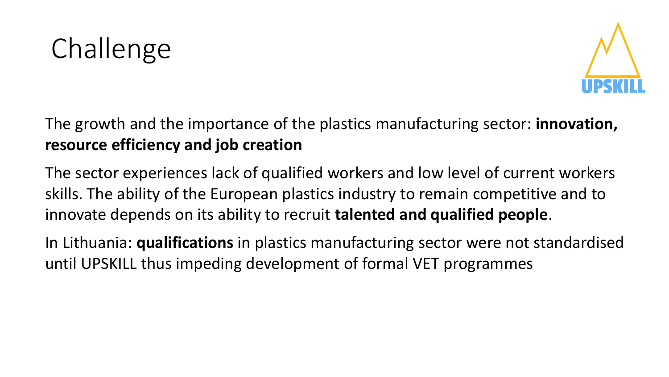



The growth and the importance of the plastics manufacturing sector: **innovation, resource efficiency and job creation**

The sector experiences lack of qualified workers and low level of current workers skills. The ability of the European plastics industry to remain competitive and to innovate depends on its ability to recruit **talented and qualified people**.

In Lithuania: **qualifications** in plastics manufacturing sector were not standardised until UPSKILL thus impeding development of formal VET programmes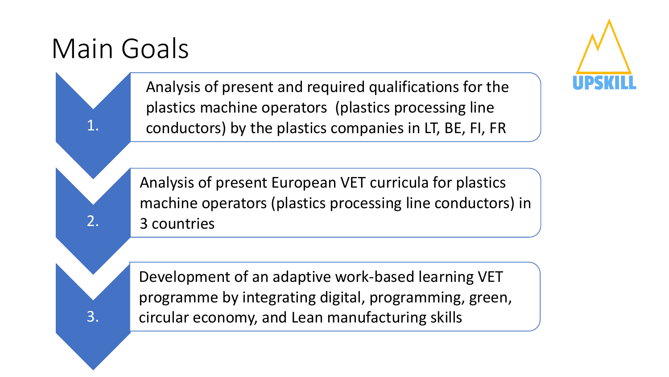## Main Goals

1.

2.

3.



Analysis of present and required qualifications for the plastics machine operators (plastics processing line conductors) by the plastics companies in LT, BE, FI, FR

Analysis of present European VET curricula for plastics machine operators (plastics processing line conductors) in 3 countries

Development of an adaptive work-based learning VET programme by integrating digital, programming, green, circular economy, and Lean manufacturing skills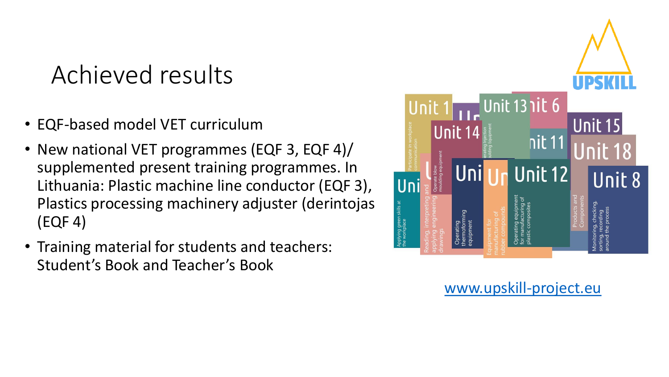### Achieved results

- EQF-based model VET curriculum
- New national VET programmes (EQF 3, EQF 4)/ supplemented present training programmes. In Lithuania: Plastic machine line conductor (EQF 3), Plastics processing machinery adjuster (derintojas) (EQF 4)
- Training material for students and teachers: Student's Book and Teacher's Book



#### [www.upskill-project.eu](http://www.upskill-project.eu/)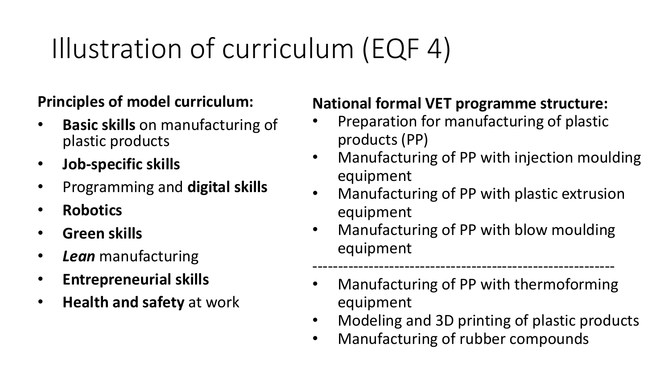# Illustration of curriculum (EQF 4)

#### **Principles of model curriculum:**

- **Basic skills** on manufacturing of plastic products
- **Job-specific skills**
- Programming and **digital skills**
- **Robotics**
- **Green skills**
- *Lean* manufacturing
- **Entrepreneurial skills**
- **Health and safety** at work

#### **National formal VET programme structure:**

- Preparation for manufacturing of plastic products (PP)
- Manufacturing of PP with injection moulding equipment
- Manufacturing of PP with plastic extrusion equipment
- Manufacturing of PP with blow moulding equipment
- ----------------------------------------------------------- • Manufacturing of PP with thermoforming equipment
- Modeling and 3D printing of plastic products
- Manufacturing of rubber compounds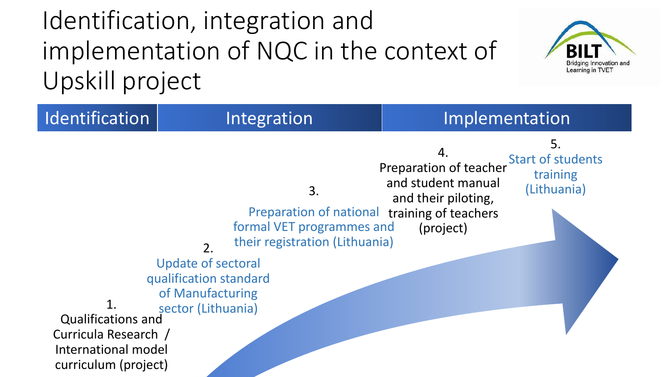



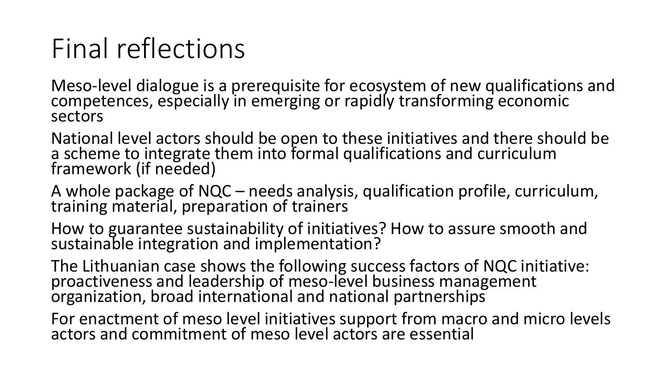## Final reflections

Meso-level dialogue is a prerequisite for ecosystem of new qualifications and competences, especially in emerging or rapidly transforming economic sectors

National level actors should be open to these initiatives and there should be a scheme to integrate them into formal qualifications and curriculum framework (if needed)

A whole package of NQC – needs analysis, qualification profile, curriculum, training material, preparation of trainers

How to guarantee sustainability of initiatives? How to assure smooth and sustainable integration and implementation?

The Lithuanian case shows the following success factors of NQC initiative: proactiveness and leadership of meso-level business management organization, broad international and national partnerships

For enactment of meso level initiatives support from macro and micro levels actors and commitment of meso level actors are essential